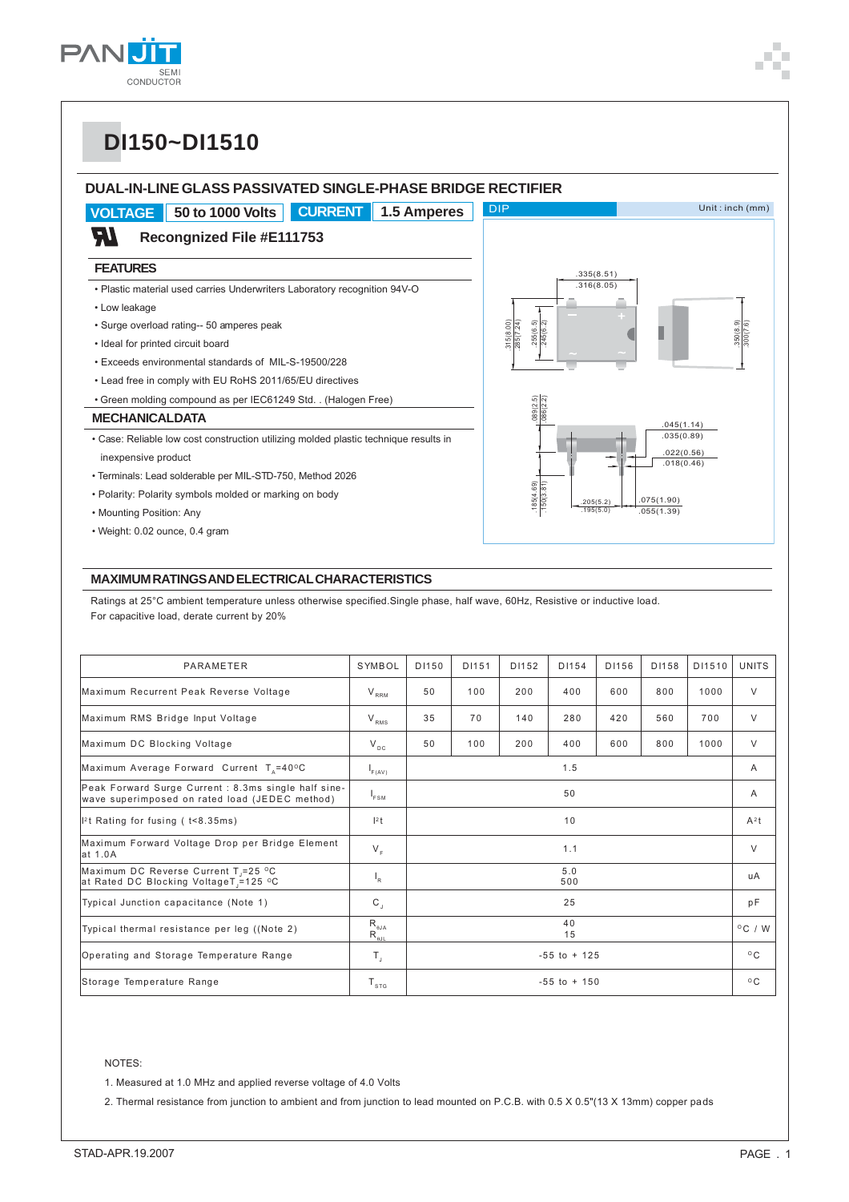

.350(8.9)

.300(7.6)

# **DI150~DI1510**

#### **DUAL-IN-LINE GLASS PASSIVATED SINGLE-PHASE BRIDGE RECTIFIER VOLTAGE 50 to 1000 Volts CURRENT 1.5 Amperes** DIP Unit : inch (mm) ופ **Recongnized File #E111753 FEATURES** .335(8.51)  $.316(8.05)$ • Plastic material used carries Underwriters Laboratory recognition 94V-O • Low leakage .245(6.2) • Surge overload rating-- 50 amperes peak .315(8.00) .285(7.24) .255(6.5) • Ideal for printed circuit board • Exceeds environmental standards of MIL-S-19500/228 • Lead free in comply with EU RoHS 2011/65/EU directives • Green molding compound as per IEC61249 Std. . (Halogen Free) .185(4.69) .089(2.5)  $.150(3.81)$   $.086(2.2)$ **MECHANICAL DATA** .045(1.14) .035(0.89) • Case: Reliable low cost construction utilizing molded plastic technique results in .022(0.56) inexpensive product  $.018(0.46)$ • Terminals: Lead solderable per MIL-STD-750, Method 2026 185(4.69) • Polarity: Polarity symbols molded or marking on body .075(1.90) .205(5.2) • Mounting Position: Any .055(1.39) .195(5.0) • Weight: 0.02 ounce, 0.4 gram

#### **MAXIMUM RATINGS AND ELECTRICAL CHARACTERISTICS**

Ratings at 25°C ambient temperature unless otherwise specified.Single phase, half wave, 60Hz, Resistive or inductive load. For capacitive load, derate current by 20%

| PARAMETER                                                                                              | SYMBOL                             | D1150           | D1151 | D1152 | D1154 | D1156 | D1158 | D11510       | <b>UNITS</b>     |
|--------------------------------------------------------------------------------------------------------|------------------------------------|-----------------|-------|-------|-------|-------|-------|--------------|------------------|
| Maximum Recurrent Peak Reverse Voltage                                                                 | $V_{RRM}$                          | 50              | 100   | 200   | 400   | 600   | 800   | 1000         | $\vee$           |
| Maximum RMS Bridge Input Voltage                                                                       | $V_{RMS}$                          | 35              | 70    | 140   | 280   | 420   | 560   | 700          | $\vee$           |
| Maximum DC Blocking Voltage                                                                            | $V_{DC}$                           | 50              | 100   | 200   | 400   | 600   | 800   | 1000         | $\vee$           |
| Maximum Average Forward Current T <sub>x</sub> =40°C                                                   | F(AV)                              | 1.5             |       |       |       |       |       |              | $\mathsf{A}$     |
| Peak Forward Surge Current : 8.3ms single half sine-<br>wave superimposed on rated load (JEDEC method) | $I_{FSM}$                          | 50              |       |       |       |       |       |              | A                |
| $\vert$ <sup>2</sup> t Rating for fusing ( $t$ <8.35ms)                                                | $l^2t$                             | 10              |       |       |       |       |       |              | $A^2t$           |
| Maximum Forward Voltage Drop per Bridge Element<br>lat 1.0A                                            | $V_{F}$                            | 1.1             |       |       |       |       |       |              | $\vee$           |
| Maximum DC Reverse Current T <sub>1</sub> =25 °C<br>at Rated DC Blocking VoltageT =125 °C              | $\mathsf{I}_{\mathsf{R}}$          | 5.0<br>500      |       |       |       |       |       |              | uA               |
| Typical Junction capacitance (Note 1)                                                                  | $\mathtt{C}\xspace_{\mathtt{J}}$   | 25              |       |       |       |       |       |              | pF               |
| Typical thermal resistance per leg ((Note 2)                                                           | $R_{\theta$ JA<br>$R_{\text{eJL}}$ | 40<br>15        |       |       |       |       |       |              | $^{\circ}$ C / W |
| Operating and Storage Temperature Range                                                                | $T_{\rm J}$                        | $-55$ to $+125$ |       |       |       |       |       |              | $^{\circ}$ C     |
| Storage Temperature Range                                                                              | $T_{\texttt{src}}$                 | $-55$ to $+150$ |       |       |       |       |       | $^{\circ}$ C |                  |

#### NOTES:

1. Measured at 1.0 MHz and applied reverse voltage of 4.0 Volts

2. Thermal resistance from junction to ambient and from junction to lead mounted on P.C.B. with 0.5 X 0.5"(13 X 13mm) copper pads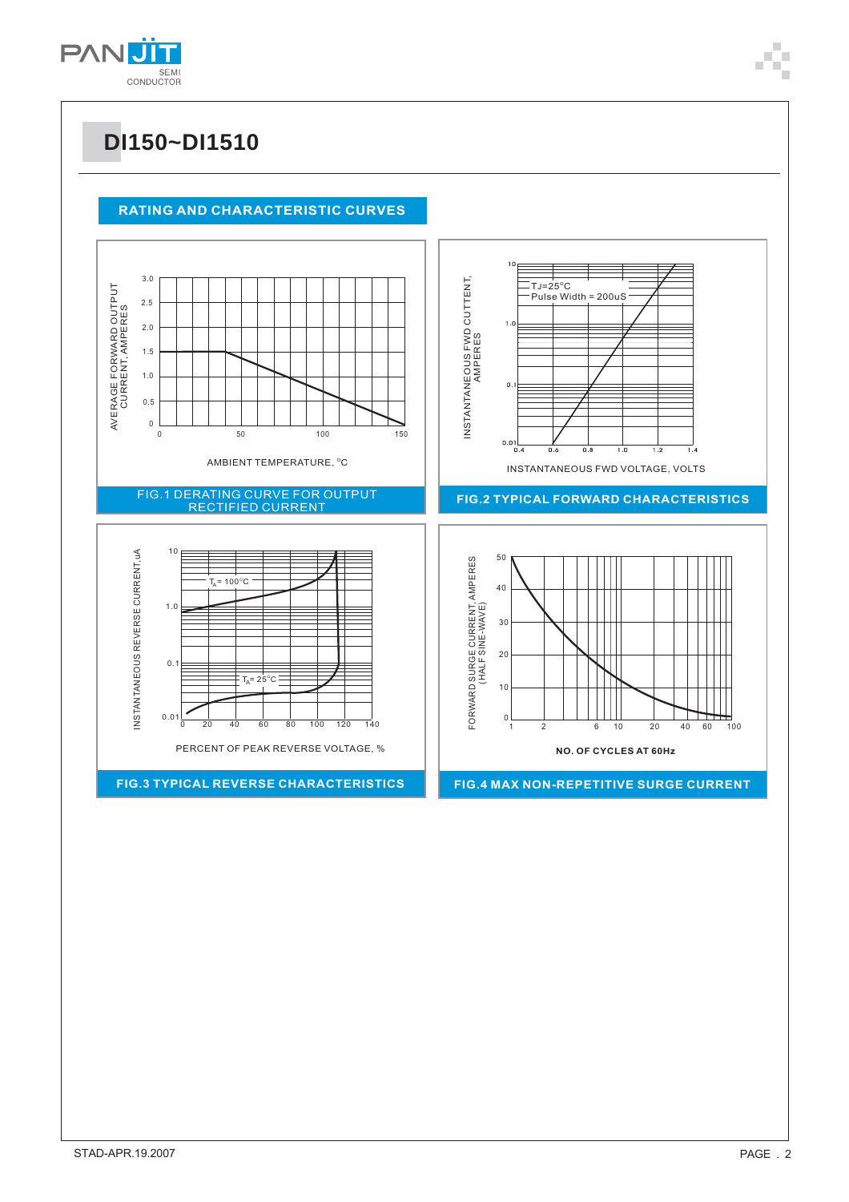

## **DI150~DI1510**

#### **RATING AND CHARACTERISTIC CURVES**

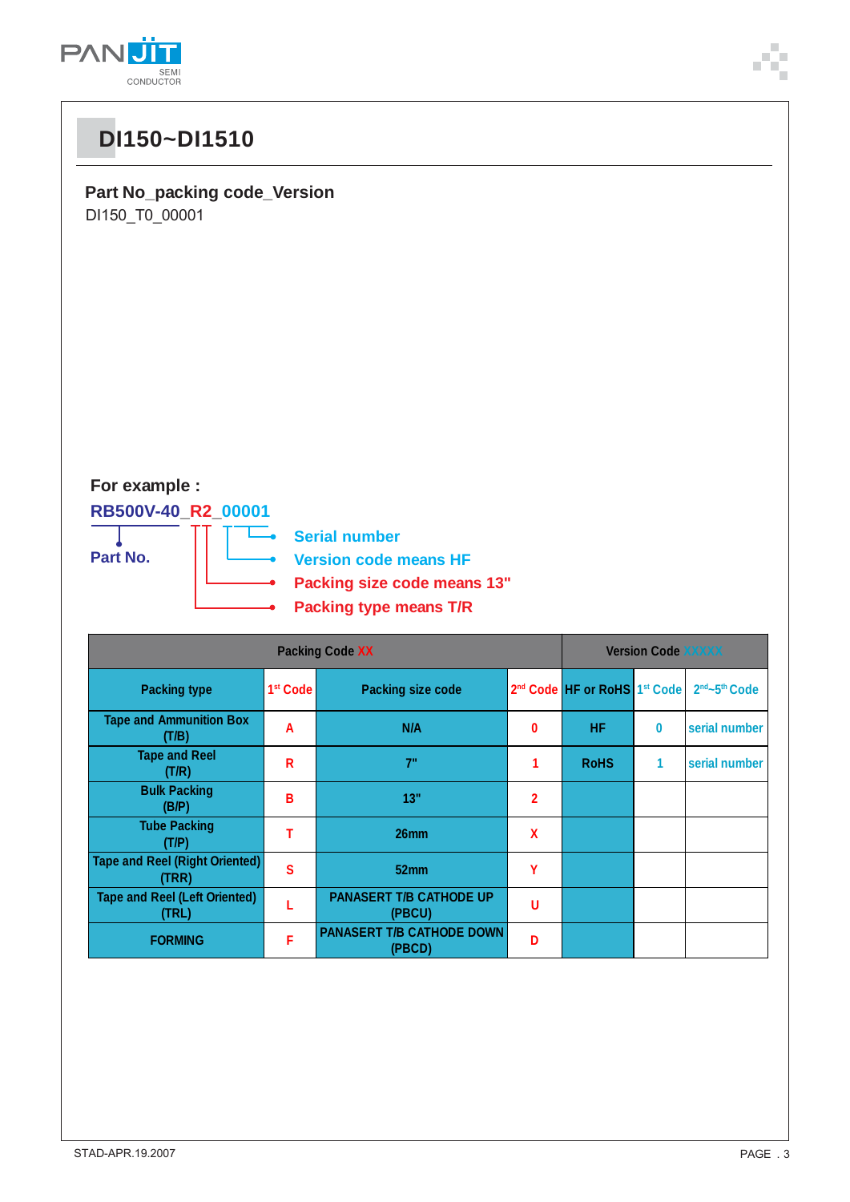

# **DI150~DI1510**

**Part No\_packing code\_Version** DI150\_T0\_00001

### **For example :**

#### **RB500V-40\_R2\_00001**



| <b>Packing Code XX</b>                         |                      |                                            |          | <b>Version Code XXXXX</b>                            |          |                                       |  |  |
|------------------------------------------------|----------------------|--------------------------------------------|----------|------------------------------------------------------|----------|---------------------------------------|--|--|
| <b>Packing type</b>                            | 1 <sup>st</sup> Code | <b>Packing size code</b>                   |          | 2 <sup>nd</sup> Code HF or RoHS 1 <sup>st</sup> Code |          | 2 <sup>nd</sup> ~5 <sup>th</sup> Code |  |  |
| <b>Tape and Ammunition Box</b><br>(T/B)        | A                    | N/A                                        | $\bf{0}$ | <b>HF</b>                                            | $\bf{0}$ | serial number                         |  |  |
| <b>Tape and Reel</b><br>(T/R)                  | R                    | 7"                                         |          | <b>RoHS</b>                                          | 1        | serial number                         |  |  |
| <b>Bulk Packing</b><br>(B/P)                   | в                    | 13"                                        | 2        |                                                      |          |                                       |  |  |
| <b>Tube Packing</b><br>(T/P)                   |                      | 26mm                                       | X        |                                                      |          |                                       |  |  |
| <b>Tape and Reel (Right Oriented)</b><br>(TRR) | S                    | 52mm                                       | γ        |                                                      |          |                                       |  |  |
| <b>Tape and Reel (Left Oriented)</b><br>(TRL)  |                      | <b>PANASERT T/B CATHODE UP</b><br>(PBCU)   | U        |                                                      |          |                                       |  |  |
| <b>FORMING</b>                                 | F                    | <b>PANASERT T/B CATHODE DOWN</b><br>(PBCD) | D        |                                                      |          |                                       |  |  |